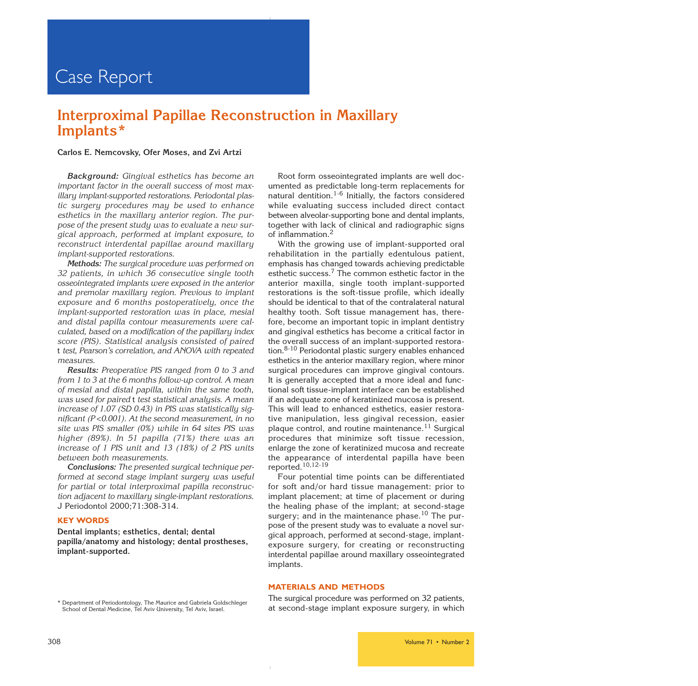## **Interproximal Papillae Reconstruction in Maxillary Implants\***

### **Carlos E. Nemcovsky, Ofer Moses, and Zvi Artzi**

**Background:** Gingival esthetics has become an important factor in the overall success of most maxillary implant-supported restorations. Periodontal plastic surgery procedures may be used to enhance esthetics in the maxillary anterior region. The purpose of the present study was to evaluate a new surgical approach, performed at implant exposure, to reconstruct interdental papillae around maxillary implant-supported restorations.

**Methods:** The surgical procedure was performed on 32 patients, in which 36 consecutive single tooth osseointegrated implants were exposed in the anterior and premolar maxillary region. Previous to implant exposure and 6 months postoperatively, once the implant-supported restoration was in place, mesial and distal papilla contour measurements were calculated, based on a modification of the papillary index score (PIS). Statistical analysis consisted of paired t test, Pearson's correlation, and ANOVA with repeated measures.

**Results:** Preoperative PIS ranged from 0 to 3 and from 1 to 3 at the 6 months follow-up control. A mean of mesial and distal papilla, within the same tooth, was used for paired t test statistical analysis. A mean increase of 1.07 (SD 0.43) in PIS was statistically significant (P <0.001). At the second measurement, in no site was PIS smaller (0%) while in 64 sites PIS was higher (89%). In 51 papilla (71%) there was an increase of 1 PIS unit and 13 (18%) of 2 PIS units between both measurements.

**Conclusions:** The presented surgical technique performed at second stage implant surgery was useful for partial or total interproximal papilla reconstruction adjacent to maxillary single-implant restorations. J Periodontol 2000;71:308-314.

### **KEY WORDS**

**Dental implants; esthetics, dental; dental papilla/anatomy and histology; dental prostheses, implant-supported.**

Root form osseointegrated implants are well documented as predictable long-term replacements for natural dentition.<sup>1-6</sup> Initially, the factors considered while evaluating success included direct contact between alveolar-supporting bone and dental implants, together with lack of clinical and radiographic signs of inflammation.<sup>2</sup>

With the growing use of implant-supported oral rehabilitation in the partially edentulous patient, emphasis has changed towards achieving predictable esthetic success.<sup>7</sup> The common esthetic factor in the anterior maxilla, single tooth implant-supported restorations is the soft-tissue profile, which ideally should be identical to that of the contralateral natural healthy tooth. Soft tissue management has, therefore, become an important topic in implant dentistry and gingival esthetics has become a critical factor in the overall success of an implant-supported restoration.8-10 Periodontal plastic surgery enables enhanced esthetics in the anterior maxillary region, where minor surgical procedures can improve gingival contours. It is generally accepted that a more ideal and functional soft tissue-implant interface can be established if an adequate zone of keratinized mucosa is present. This will lead to enhanced esthetics, easier restorative manipulation, less gingival recession, easier plaque control, and routine maintenance.<sup>11</sup> Surgical procedures that minimize soft tissue recession, enlarge the zone of keratinized mucosa and recreate the appearance of interdental papilla have been reported.10,12-19

Four potential time points can be differentiated for soft and/or hard tissue management: prior to implant placement; at time of placement or during the healing phase of the implant; at second-stage surgery; and in the maintenance phase.<sup>10</sup> The purpose of the present study was to evaluate a novel surgical approach, performed at second-stage, implantexposure surgery, for creating or reconstructing interdental papillae around maxillary osseointegrated implants.

### **MATERIALS AND METHODS**

\* Department of Periodontology, The Maurice and Gabriela Goldschleger School of Dental Medicine, Tel Aviv University, Tel Aviv, Israel.

The surgical procedure was performed on 32 patients, at second-stage implant exposure surgery, in which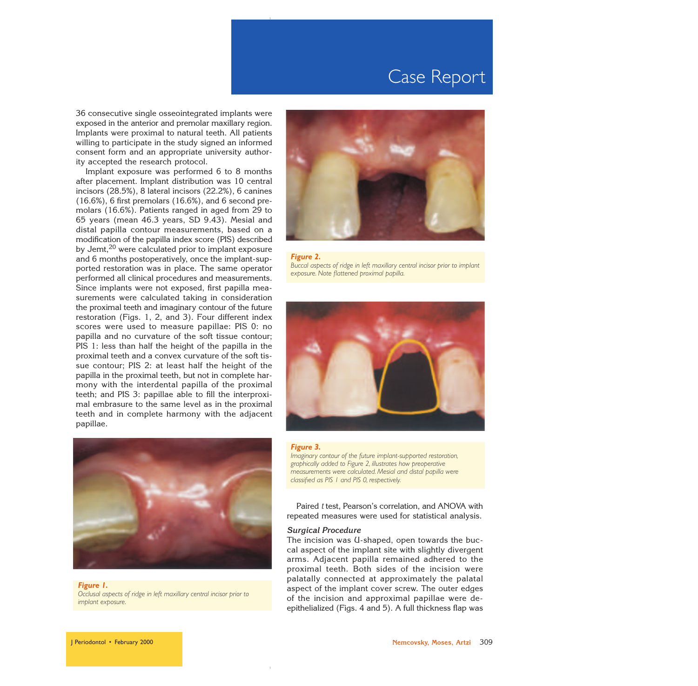36 consecutive single osseointegrated implants were exposed in the anterior and premolar maxillary region. Implants were proximal to natural teeth. All patients willing to participate in the study signed an informed consent form and an appropriate university authority accepted the research protocol.

Implant exposure was performed 6 to 8 months after placement. Implant distribution was 10 central incisors (28.5%), 8 lateral incisors (22.2%), 6 canines (16.6%), 6 first premolars (16.6%), and 6 second premolars (16.6%). Patients ranged in aged from 29 to 65 years (mean 46.3 years, SD 9.43). Mesial and distal papilla contour measurements, based on a modification of the papilla index score (PIS) described by Jemt,<sup>20</sup> were calculated prior to implant exposure and 6 months postoperatively, once the implant-supported restoration was in place. The same operator performed all clinical procedures and measurements. Since implants were not exposed, first papilla measurements were calculated taking in consideration the proximal teeth and imaginary contour of the future restoration (Figs. 1, 2, and 3). Four different index scores were used to measure papillae: PIS 0: no papilla and no curvature of the soft tissue contour; PIS 1: less than half the height of the papilla in the proximal teeth and a convex curvature of the soft tissue contour; PIS 2: at least half the height of the papilla in the proximal teeth, but not in complete harmony with the interdental papilla of the proximal teeth; and PIS 3: papillae able to fill the interproximal embrasure to the same level as in the proximal teeth and in complete harmony with the adjacent papillae.



### *Figure 1.*

*Occlusal aspects of ridge in left maxillary central incisor prior to implant exposure.*







#### *Figure 3.*

*Imaginary contour of the future implant-supported restoration, graphically added to Figure 2, illustrates how preoperative measurements were calculated. Mesial and distal papilla were classified as PIS 1 and PIS 0, respectively.*

Paired t test, Pearson's correlation, and ANOVA with repeated measures were used for statistical analysis.

### **Surgical Procedure**

The incision was U-shaped, open towards the buccal aspect of the implant site with slightly divergent arms. Adjacent papilla remained adhered to the proximal teeth. Both sides of the incision were palatally connected at approximately the palatal aspect of the implant cover screw. The outer edges of the incision and approximal papillae were deepithelialized (Figs. 4 and 5). A full thickness flap was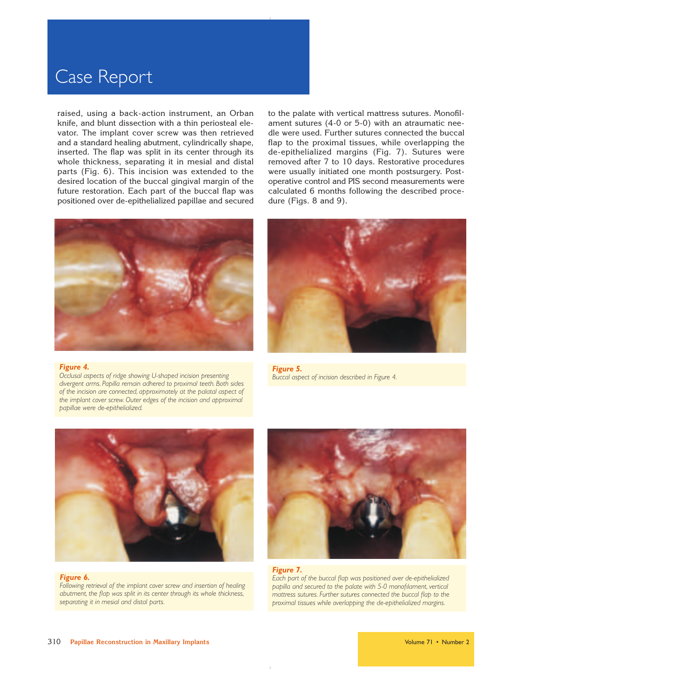raised, using a back-action instrument, an Orban knife, and blunt dissection with a thin periosteal elevator. The implant cover screw was then retrieved and a standard healing abutment, cylindrically shape, inserted. The flap was split in its center through its whole thickness, separating it in mesial and distal parts (Fig. 6). This incision was extended to the desired location of the buccal gingival margin of the future restoration. Each part of the buccal flap was positioned over de-epithelialized papillae and secured to the palate with vertical mattress sutures. Monofilament sutures (4-0 or 5-0) with an atraumatic needle were used. Further sutures connected the buccal flap to the proximal tissues, while overlapping the de-epithelialized margins (Fig. 7). Sutures were removed after 7 to 10 days. Restorative procedures were usually initiated one month postsurgery. Postoperative control and PIS second measurements were calculated 6 months following the described procedure (Figs. 8 and 9).



#### *Figure 4.*

*Occlusal aspects of ridge showing U-shaped incision presenting divergent arms. Papilla remain adhered to proximal teeth. Both sides of the incision are connected, approximately at the palatal aspect of the implant cover screw. Outer edges of the incision and approximal papillae were de-epithelialized.*



*Figure 5. Buccal aspect of incision described in Figure 4.*



#### *Figure 6.*

*Following retrieval of the implant cover screw and insertion of healing abutment, the flap was split in its center through its whole thickness, separating it in mesial and distal parts.*



#### *Figure 7.*

*Each part of the buccal flap was positioned over de-epithelialized papilla and secured to the palate with 5-0 monofilament, vertical mattress sutures. Further sutures connected the buccal flap to the proximal tissues while overlapping the de-epithelialized margins.*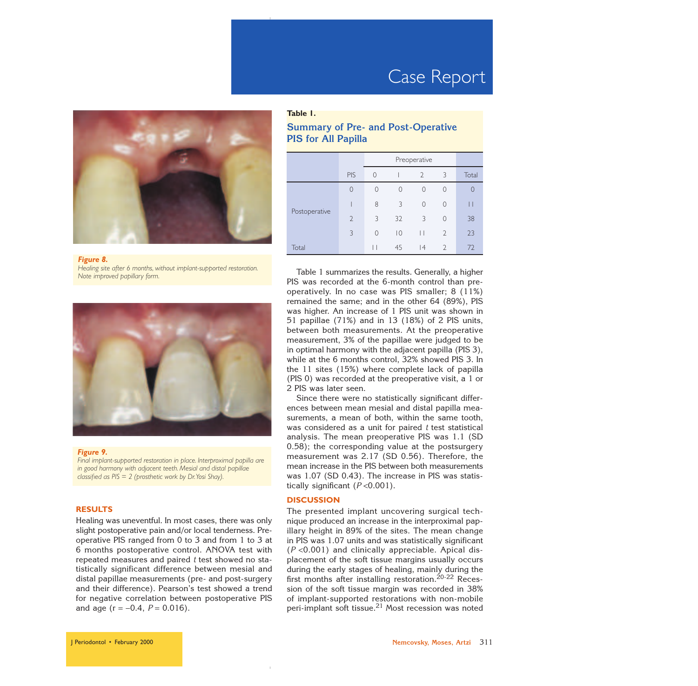

#### *Figure 8.*

*Healing site after 6 months, without implant-supported restoration. Note improved papillary form.*



#### *Figure 9.*

*Final implant-supported restoration in place. Interproximal papilla are in good harmony with adjacent teeth. Mesial and distal papillae classified as PIS* = *2 (prosthetic work by Dr.Yosi Shay).*

#### **RESULTS**

Healing was uneventful. In most cases, there was only slight postoperative pain and/or local tenderness. Preoperative PIS ranged from 0 to 3 and from 1 to 3 at 6 months postoperative control. ANOVA test with repeated measures and paired  $t$  test showed no statistically significant difference between mesial and distal papillae measurements (pre- and post-surgery and their difference). Pearson's test showed a trend for negative correlation between postoperative PIS and age ( $r = -0.4$ ,  $P = 0.016$ ).

## **Table 1.**

## **Summary of Pre- and Post-Operative PIS for All Papilla**

|               |                | Preoperative |                |                |                          |       |
|---------------|----------------|--------------|----------------|----------------|--------------------------|-------|
|               | <b>PIS</b>     | $\Omega$     |                | $\overline{2}$ | 3                        | Total |
| Postoperative | $\overline{0}$ | $\Omega$     | $\bigcap$      | $\Omega$       | $\Omega$                 |       |
|               |                | 8            | 3              | $\overline{0}$ | 0                        |       |
|               | $\overline{2}$ | 3            | 32             | 3              | $\Omega$                 | 38    |
|               | 3              | $\Omega$     | $\overline{0}$ |                | $\overline{2}$           | 23    |
| Total         |                |              | 45             | 4              | $\overline{\phantom{0}}$ | 72    |

Table 1 summarizes the results. Generally, a higher PIS was recorded at the 6-month control than preoperatively. In no case was PIS smaller; 8 (11%) remained the same; and in the other 64 (89%), PIS was higher. An increase of 1 PIS unit was shown in 51 papillae (71%) and in 13 (18%) of 2 PIS units, between both measurements. At the preoperative measurement, 3% of the papillae were judged to be in optimal harmony with the adjacent papilla (PIS 3), while at the 6 months control, 32% showed PIS 3. In the 11 sites (15%) where complete lack of papilla (PIS 0) was recorded at the preoperative visit, a 1 or 2 PIS was later seen.

Since there were no statistically significant differences between mean mesial and distal papilla measurements, a mean of both, within the same tooth, was considered as a unit for paired  $t$  test statistical analysis. The mean preoperative PIS was 1.1 (SD 0.58); the corresponding value at the postsurgery measurement was 2.17 (SD 0.56). Therefore, the mean increase in the PIS between both measurements was 1.07 (SD 0.43). The increase in PIS was statistically significant  $(P<0.001)$ .

### **DISCUSSION**

The presented implant uncovering surgical technique produced an increase in the interproximal papillary height in 89% of the sites. The mean change in PIS was 1.07 units and was statistically significant  $(P<0.001)$  and clinically appreciable. Apical displacement of the soft tissue margins usually occurs during the early stages of healing, mainly during the first months after installing restoration.<sup>20-22</sup> Recession of the soft tissue margin was recorded in 38% of implant-supported restorations with non-mobile peri-implant soft tissue.<sup>21</sup> Most recession was noted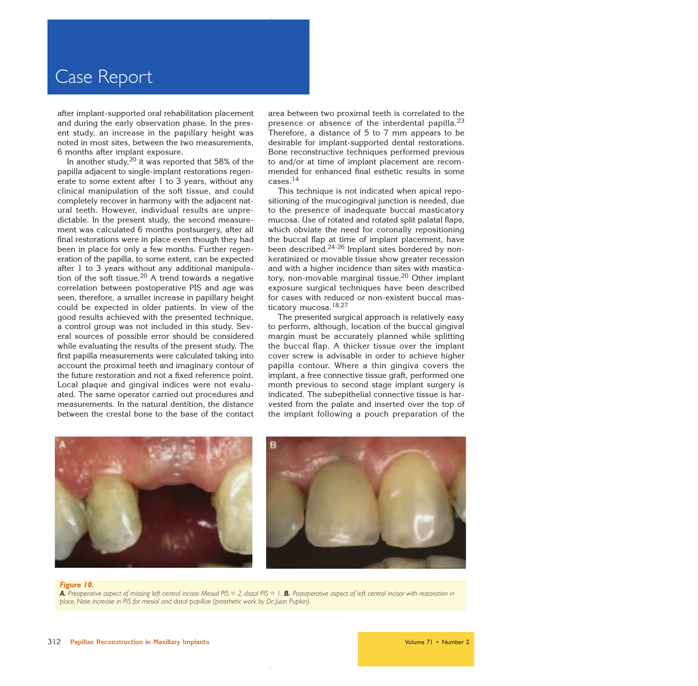after implant-supported oral rehabilitation placement and during the early observation phase. In the present study, an increase in the papillary height was noted in most sites, between the two measurements, 6 months after implant exposure.

In another study,  $20$  it was reported that 58% of the papilla adjacent to single-implant restorations regenerate to some extent after 1 to 3 years, without any clinical manipulation of the soft tissue, and could completely recover in harmony with the adjacent natural teeth. However, individual results are unpredictable. In the present study, the second measurement was calculated 6 months postsurgery, after all final restorations were in place even though they had been in place for only a few months. Further regeneration of the papilla, to some extent, can be expected after 1 to 3 years without any additional manipulation of the soft tissue.<sup>20</sup> A trend towards a negative correlation between postoperative PIS and age was seen, therefore, a smaller increase in papillary height could be expected in older patients. In view of the good results achieved with the presented technique, a control group was not included in this study. Several sources of possible error should be considered while evaluating the results of the present study. The first papilla measurements were calculated taking into account the proximal teeth and imaginary contour of the future restoration and not a fixed reference point. Local plaque and gingival indices were not evaluated. The same operator carried out procedures and measurements. In the natural dentition, the distance between the crestal bone to the base of the contact area between two proximal teeth is correlated to the presence or absence of the interdental papilla.<sup>23</sup> Therefore, a distance of 5 to 7 mm appears to be desirable for implant-supported dental restorations. Bone reconstructive techniques performed previous to and/or at time of implant placement are recommended for enhanced final esthetic results in some cases.<sup>14</sup>

This technique is not indicated when apical repositioning of the mucogingival junction is needed, due to the presence of inadequate buccal masticatory mucosa. Use of rotated and rotated split palatal flaps, which obviate the need for coronally repositioning the buccal flap at time of implant placement, have been described.24-26 Implant sites bordered by nonkeratinized or movable tissue show greater recession and with a higher incidence than sites with masticatory, non-movable marginal tissue.<sup>20</sup> Other implant exposure surgical techniques have been described for cases with reduced or non-existent buccal masticatory mucosa.<sup>18,27</sup>

The presented surgical approach is relatively easy to perform, although, location of the buccal gingival margin must be accurately planned while splitting the buccal flap. A thicker tissue over the implant cover screw is advisable in order to achieve higher papilla contour. Where a thin gingiva covers the implant, a free connective tissue graft, performed one month previous to second stage implant surgery is indicated. The subepithelial connective tissue is harvested from the palate and inserted over the top of the implant following a pouch preparation of the



#### *Figure 10.*

A. Preoperative aspect of missing left central incisor. Mesial PIS = 2, distal PIS = 1. **B.** Postoperative aspect of left central incisor with restoration in *place. Note increase in PIS for mesial and distal papillae (prosthetic work by Dr. Juan Pupkin).*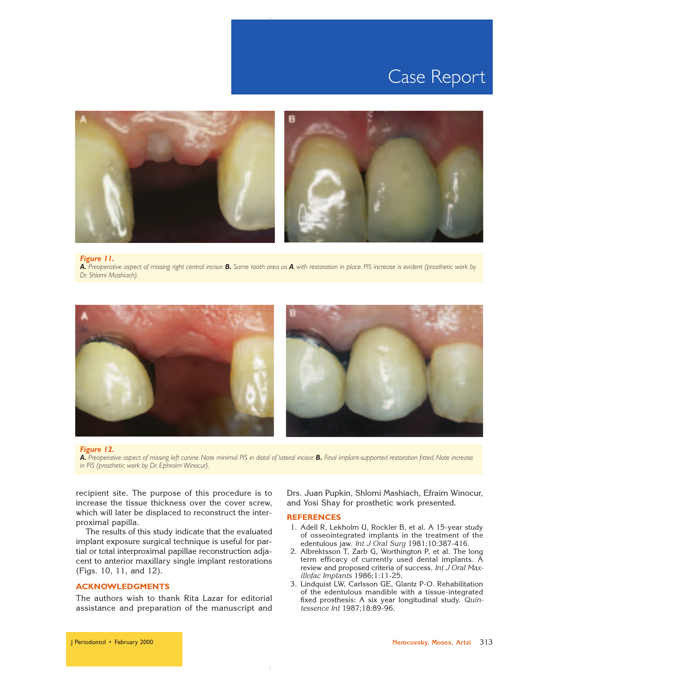

#### *Figure 11. A. Preoperative aspect of missing right central incisor. B. Same tooth area as A, with restoration in place. PIS increase is evident (prosthetic work by Dr. Shlomi Mashiach).*



#### *Figure 12.*

*A. Preoperative aspect of missing left canine. Note minimal PIS in distal of lateral incisor. B. Final implant-supported restoration fitted. Note increase in PIS (prosthetic work by Dr. Ephraim Winocur).*

recipient site. The purpose of this procedure is to increase the tissue thickness over the cover screw, which will later be displaced to reconstruct the interproximal papilla.

The results of this study indicate that the evaluated implant exposure surgical technique is useful for partial or total interproximal papillae reconstruction adjacent to anterior maxillary single implant restorations (Figs. 10, 11, and 12).

## **ACKNOWLEDGMENTS**

The authors wish to thank Rita Lazar for editorial assistance and preparation of the manuscript and Drs. Juan Pupkin, Shlomi Mashiach, Efraim Winocur, and Yosi Shay for prosthetic work presented.

### **REFERENCES**

- 1. Adell R, Lekholm U, Rockler B, et al. A 15-year study of osseointegrated implants in the treatment of the edentulous jaw. Int J Oral Surg 1981;10:387-416.
- 2. Albrektsson T, Zarb G, Worthington P, et al. The long term efficacy of currently used dental implants. A review and proposed criteria of success. Int J Oral Maxillofac Implants 1986;1:11-25.
- 3. Lindquist LW, Carlsson GE, Glantz P-O. Rehabilitation of the edentulous mandible with a tissue-integrated fixed prosthesis: A six year longitudinal study. Quintessence Int 1987;18:89-96.